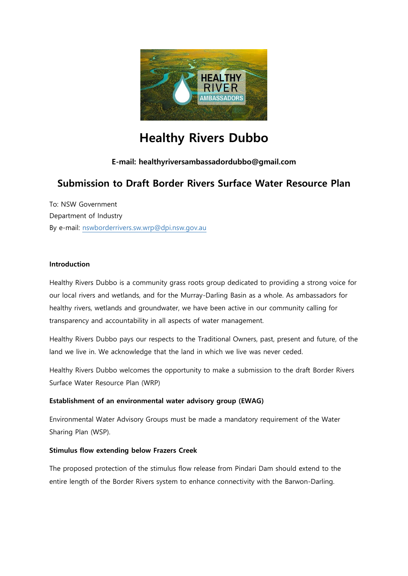

# **Healthy Rivers Dubbo**

### **E-mail: healthyriversambassadordubbo@gmail.com**

## **Submission to Draft Border Rivers Surface Water Resource Plan**

To: NSW Government Department of Industry By e-mail: [nswborderrivers.sw.wrp@dpi.nsw.gov.au](mailto:nswborderrivers.sw.wrp@dpi.nsw.gov.au?subject=NSW%20Border%20Rivers%20Surface%20WRP)

#### **Introduction**

Healthy Rivers Dubbo is a community grass roots group dedicated to providing a strong voice for our local rivers and wetlands, and for the Murray-Darling Basin as a whole. As ambassadors for healthy rivers, wetlands and groundwater, we have been active in our community calling for transparency and accountability in all aspects of water management.

Healthy Rivers Dubbo pays our respects to the Traditional Owners, past, present and future, of the land we live in. We acknowledge that the land in which we live was never ceded.

Healthy Rivers Dubbo welcomes the opportunity to make a submission to the draft Border Rivers Surface Water Resource Plan (WRP)

#### **Establishment of an environmental water advisory group (EWAG)**

Environmental Water Advisory Groups must be made a mandatory requirement of the Water Sharing Plan (WSP).

#### **Stimulus flow extending below Frazers Creek**

The proposed protection of the stimulus flow release from Pindari Dam should extend to the entire length of the Border Rivers system to enhance connectivity with the Barwon-Darling.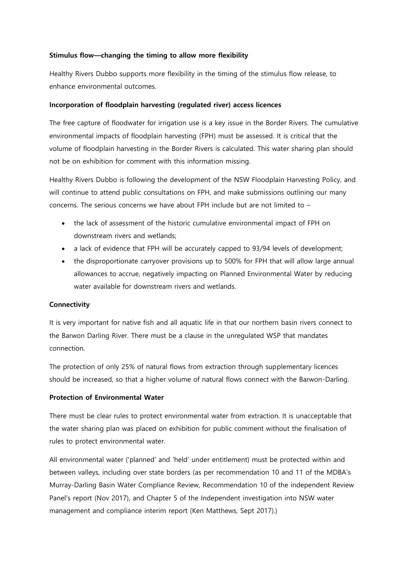#### **Stimulus flow—changing the timing to allow more flexibility**

Healthy Rivers Dubbo supports more flexibility in the timing of the stimulus flow release, to enhance environmental outcomes.

#### **Incorporation of floodplain harvesting (regulated river) access licences**

The free capture of floodwater for irrigation use is a key issue in the Border Rivers. The cumulative environmental impacts of floodplain harvesting (FPH) must be assessed. It is critical that the volume of floodplain harvesting in the Border Rivers is calculated. This water sharing plan should not be on exhibition for comment with this information missing.

Healthy Rivers Dubbo is following the development of the NSW Floodplain Harvesting Policy, and will continue to attend public consultations on FPH, and make submissions outlining our many concerns. The serious concerns we have about FPH include but are not limited to –

- the lack of assessment of the historic cumulative environmental impact of FPH on downstream rivers and wetlands;
- a lack of evidence that FPH will be accurately capped to 93/94 levels of development;
- the disproportionate carryover provisions up to 500% for FPH that will allow large annual allowances to accrue, negatively impacting on Planned Environmental Water by reducing water available for downstream rivers and wetlands.

#### **Connectivity**

It is very important for native fish and all aquatic life in that our northern basin rivers connect to the Barwon Darling River. There must be a clause in the unregulated WSP that mandates connection.

The protection of only 25% of natural flows from extraction through supplementary licences should be increased, so that a higher volume of natural flows connect with the Barwon-Darling.

#### **Protection of Environmental Water**

There must be clear rules to protect environmental water from extraction. It is unacceptable that the water sharing plan was placed on exhibition for public comment without the finalisation of rules to protect environmental water.

All environmental water ('planned' and 'held' under entitlement) must be protected within and between valleys, including over state borders (as per recommendation 10 and 11 of the MDBA's Murray-Darling Basin Water Compliance Review, Recommendation 10 of the independent Review Panel's report (Nov 2017), and Chapter 5 of the Independent investigation into NSW water management and compliance interim report (Ken Matthews, Sept 2017).)